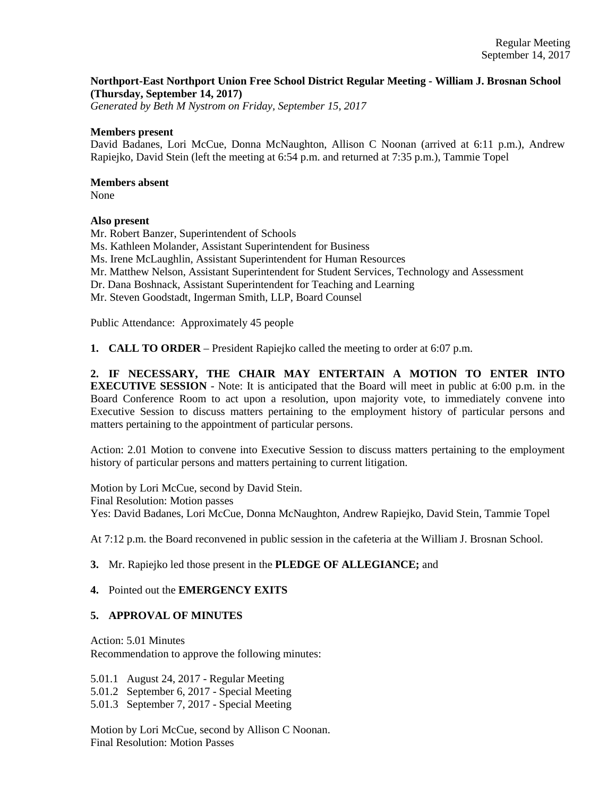## **Northport-East Northport Union Free School District Regular Meeting - William J. Brosnan School (Thursday, September 14, 2017)**

*Generated by Beth M Nystrom on Friday, September 15, 2017*

#### **Members present**

David Badanes, Lori McCue, Donna McNaughton, Allison C Noonan (arrived at 6:11 p.m.), Andrew Rapiejko, David Stein (left the meeting at 6:54 p.m. and returned at 7:35 p.m.), Tammie Topel

#### **Members absent**

None

## **Also present**

Mr. Robert Banzer, Superintendent of Schools Ms. Kathleen Molander, Assistant Superintendent for Business Ms. Irene McLaughlin, Assistant Superintendent for Human Resources Mr. Matthew Nelson, Assistant Superintendent for Student Services, Technology and Assessment Dr. Dana Boshnack, Assistant Superintendent for Teaching and Learning Mr. Steven Goodstadt, Ingerman Smith, LLP, Board Counsel Public Attendance: Approximately 45 people

**1. CALL TO ORDER** – President Rapiejko called the meeting to order at 6:07 p.m.

**2. IF NECESSARY, THE CHAIR MAY ENTERTAIN A MOTION TO ENTER INTO EXECUTIVE SESSION** - Note: It is anticipated that the Board will meet in public at 6:00 p.m. in the Board Conference Room to act upon a resolution, upon majority vote, to immediately convene into Executive Session to discuss matters pertaining to the employment history of particular persons and matters pertaining to the appointment of particular persons.

Action: 2.01 Motion to convene into Executive Session to discuss matters pertaining to the employment history of particular persons and matters pertaining to current litigation.

Motion by Lori McCue, second by David Stein. Final Resolution: Motion passes Yes: David Badanes, Lori McCue, Donna McNaughton, Andrew Rapiejko, David Stein, Tammie Topel

At 7:12 p.m. the Board reconvened in public session in the cafeteria at the William J. Brosnan School.

## **3.** Mr. Rapiejko led those present in the **PLEDGE OF ALLEGIANCE;** and

## **4.** Pointed out the **EMERGENCY EXITS**

## **5. APPROVAL OF MINUTES**

Action: 5.01 Minutes Recommendation to approve the following minutes:

5.01.1 August 24, 2017 - Regular Meeting

5.01.2 September 6, 2017 - Special Meeting

5.01.3 September 7, 2017 - Special Meeting

Motion by Lori McCue, second by Allison C Noonan. Final Resolution: Motion Passes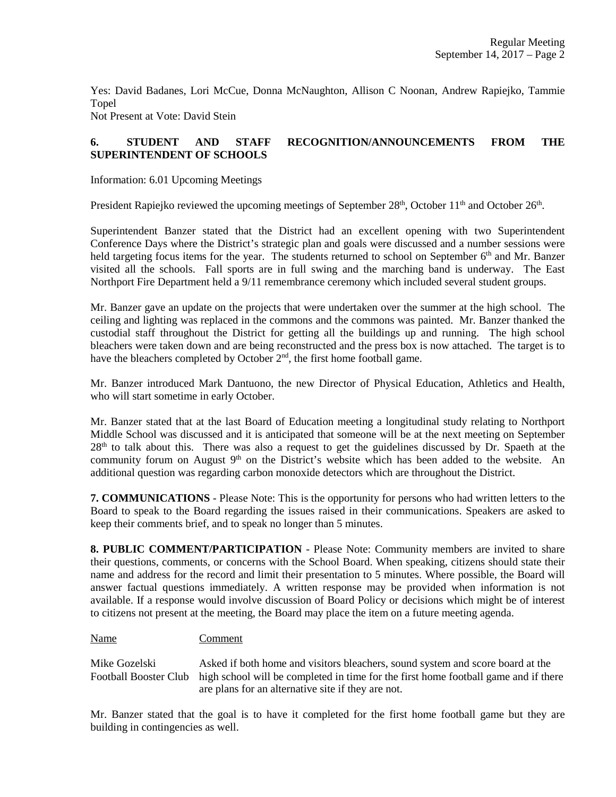Yes: David Badanes, Lori McCue, Donna McNaughton, Allison C Noonan, Andrew Rapiejko, Tammie Topel

Not Present at Vote: David Stein

# **6. STUDENT AND STAFF RECOGNITION/ANNOUNCEMENTS FROM THE SUPERINTENDENT OF SCHOOLS**

Information: 6.01 Upcoming Meetings

President Rapiejko reviewed the upcoming meetings of September 28<sup>th</sup>, October 11<sup>th</sup> and October 26<sup>th</sup>.

Superintendent Banzer stated that the District had an excellent opening with two Superintendent Conference Days where the District's strategic plan and goals were discussed and a number sessions were held targeting focus items for the year. The students returned to school on September 6<sup>th</sup> and Mr. Banzer visited all the schools. Fall sports are in full swing and the marching band is underway. The East Northport Fire Department held a 9/11 remembrance ceremony which included several student groups.

Mr. Banzer gave an update on the projects that were undertaken over the summer at the high school. The ceiling and lighting was replaced in the commons and the commons was painted. Mr. Banzer thanked the custodial staff throughout the District for getting all the buildings up and running. The high school bleachers were taken down and are being reconstructed and the press box is now attached. The target is to have the bleachers completed by October  $2<sup>nd</sup>$ , the first home football game.

Mr. Banzer introduced Mark Dantuono, the new Director of Physical Education, Athletics and Health, who will start sometime in early October.

Mr. Banzer stated that at the last Board of Education meeting a longitudinal study relating to Northport Middle School was discussed and it is anticipated that someone will be at the next meeting on September 28<sup>th</sup> to talk about this. There was also a request to get the guidelines discussed by Dr. Spaeth at the community forum on August 9<sup>th</sup> on the District's website which has been added to the website. An additional question was regarding carbon monoxide detectors which are throughout the District.

**7. COMMUNICATIONS** - Please Note: This is the opportunity for persons who had written letters to the Board to speak to the Board regarding the issues raised in their communications. Speakers are asked to keep their comments brief, and to speak no longer than 5 minutes.

**8. PUBLIC COMMENT/PARTICIPATION** - Please Note: Community members are invited to share their questions, comments, or concerns with the School Board. When speaking, citizens should state their name and address for the record and limit their presentation to 5 minutes. Where possible, the Board will answer factual questions immediately. A written response may be provided when information is not available. If a response would involve discussion of Board Policy or decisions which might be of interest to citizens not present at the meeting, the Board may place the item on a future meeting agenda.

## Name Comment

Mike Gozelski Asked if both home and visitors bleachers, sound system and score board at the Football Booster Club high school will be completed in time for the first home football game and if there are plans for an alternative site if they are not.

Mr. Banzer stated that the goal is to have it completed for the first home football game but they are building in contingencies as well.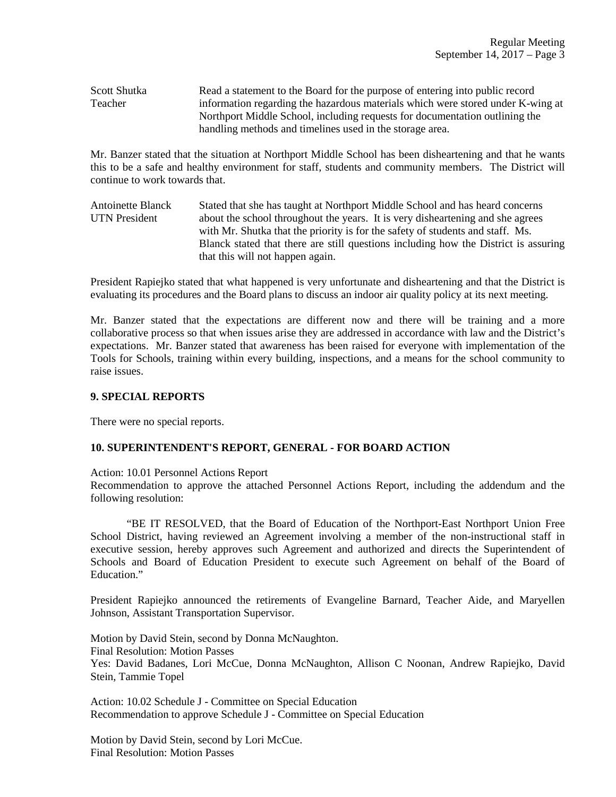Scott Shutka Read a statement to the Board for the purpose of entering into public record Teacher information regarding the hazardous materials which were stored under K-wing at Northport Middle School, including requests for documentation outlining the handling methods and timelines used in the storage area.

Mr. Banzer stated that the situation at Northport Middle School has been disheartening and that he wants this to be a safe and healthy environment for staff, students and community members. The District will continue to work towards that.

Antoinette Blanck Stated that she has taught at Northport Middle School and has heard concerns UTN President about the school throughout the years. It is very disheartening and she agrees with Mr. Shutka that the priority is for the safety of students and staff. Ms. Blanck stated that there are still questions including how the District is assuring that this will not happen again.

President Rapiejko stated that what happened is very unfortunate and disheartening and that the District is evaluating its procedures and the Board plans to discuss an indoor air quality policy at its next meeting.

Mr. Banzer stated that the expectations are different now and there will be training and a more collaborative process so that when issues arise they are addressed in accordance with law and the District's expectations. Mr. Banzer stated that awareness has been raised for everyone with implementation of the Tools for Schools, training within every building, inspections, and a means for the school community to raise issues.

#### **9. SPECIAL REPORTS**

There were no special reports.

## **10. SUPERINTENDENT'S REPORT, GENERAL - FOR BOARD ACTION**

Action: 10.01 Personnel Actions Report

Recommendation to approve the attached Personnel Actions Report, including the addendum and the following resolution:

"BE IT RESOLVED, that the Board of Education of the Northport-East Northport Union Free School District, having reviewed an Agreement involving a member of the non-instructional staff in executive session, hereby approves such Agreement and authorized and directs the Superintendent of Schools and Board of Education President to execute such Agreement on behalf of the Board of Education."

President Rapiejko announced the retirements of Evangeline Barnard, Teacher Aide, and Maryellen Johnson, Assistant Transportation Supervisor.

Motion by David Stein, second by Donna McNaughton. Final Resolution: Motion Passes Yes: David Badanes, Lori McCue, Donna McNaughton, Allison C Noonan, Andrew Rapiejko, David Stein, Tammie Topel

Action: 10.02 Schedule J - Committee on Special Education Recommendation to approve Schedule J - Committee on Special Education

Motion by David Stein, second by Lori McCue. Final Resolution: Motion Passes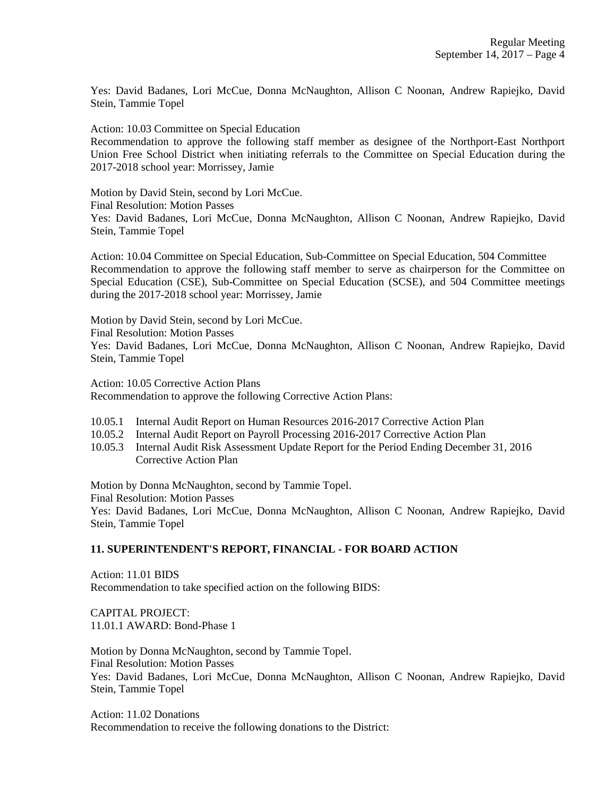Yes: David Badanes, Lori McCue, Donna McNaughton, Allison C Noonan, Andrew Rapiejko, David Stein, Tammie Topel

Action: 10.03 Committee on Special Education

Recommendation to approve the following staff member as designee of the Northport-East Northport Union Free School District when initiating referrals to the Committee on Special Education during the 2017-2018 school year: Morrissey, Jamie

Motion by David Stein, second by Lori McCue.

Final Resolution: Motion Passes

Yes: David Badanes, Lori McCue, Donna McNaughton, Allison C Noonan, Andrew Rapiejko, David Stein, Tammie Topel

Action: 10.04 Committee on Special Education, Sub-Committee on Special Education, 504 Committee Recommendation to approve the following staff member to serve as chairperson for the Committee on Special Education (CSE), Sub-Committee on Special Education (SCSE), and 504 Committee meetings during the 2017-2018 school year: Morrissey, Jamie

Motion by David Stein, second by Lori McCue.

Final Resolution: Motion Passes

Yes: David Badanes, Lori McCue, Donna McNaughton, Allison C Noonan, Andrew Rapiejko, David Stein, Tammie Topel

Action: 10.05 Corrective Action Plans Recommendation to approve the following Corrective Action Plans:

- 10.05.1 Internal Audit Report on Human Resources 2016-2017 Corrective Action Plan
- 10.05.2 Internal Audit Report on Payroll Processing 2016-2017 Corrective Action Plan
- 10.05.3 Internal Audit Risk Assessment Update Report for the Period Ending December 31, 2016 Corrective Action Plan

Motion by Donna McNaughton, second by Tammie Topel.

Final Resolution: Motion Passes

Yes: David Badanes, Lori McCue, Donna McNaughton, Allison C Noonan, Andrew Rapiejko, David Stein, Tammie Topel

## **11. SUPERINTENDENT'S REPORT, FINANCIAL - FOR BOARD ACTION**

Action: 11.01 BIDS Recommendation to take specified action on the following BIDS:

CAPITAL PROJECT: 11.01.1 AWARD: Bond-Phase 1

Motion by Donna McNaughton, second by Tammie Topel. Final Resolution: Motion Passes Yes: David Badanes, Lori McCue, Donna McNaughton, Allison C Noonan, Andrew Rapiejko, David Stein, Tammie Topel

Action: 11.02 Donations Recommendation to receive the following donations to the District: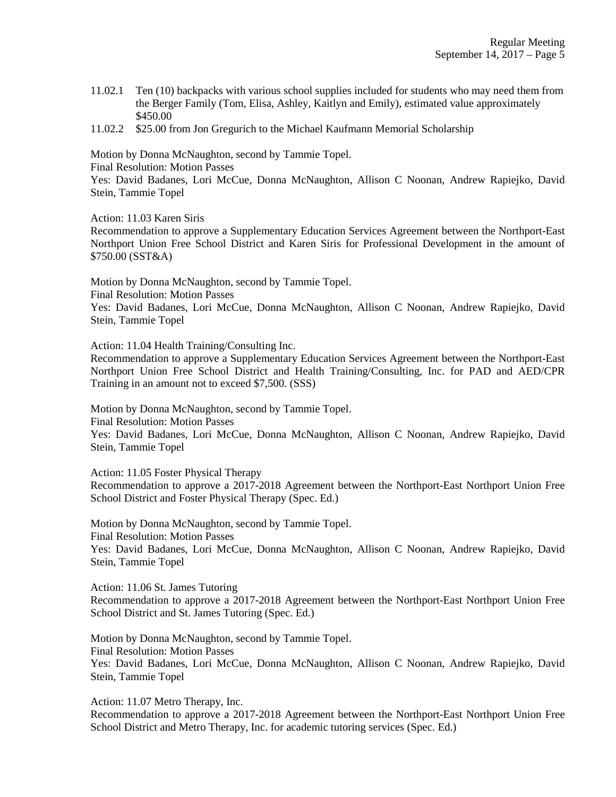- 11.02.1 Ten (10) backpacks with various school supplies included for students who may need them from the Berger Family (Tom, Elisa, Ashley, Kaitlyn and Emily), estimated value approximately \$450.00
- 11.02.2 \$25.00 from Jon Gregurich to the Michael Kaufmann Memorial Scholarship

Motion by Donna McNaughton, second by Tammie Topel.

Final Resolution: Motion Passes

Yes: David Badanes, Lori McCue, Donna McNaughton, Allison C Noonan, Andrew Rapiejko, David Stein, Tammie Topel

Action: 11.03 Karen Siris

Recommendation to approve a Supplementary Education Services Agreement between the Northport-East Northport Union Free School District and Karen Siris for Professional Development in the amount of \$750.00 (SST&A)

Motion by Donna McNaughton, second by Tammie Topel.

Final Resolution: Motion Passes

Yes: David Badanes, Lori McCue, Donna McNaughton, Allison C Noonan, Andrew Rapiejko, David Stein, Tammie Topel

Action: 11.04 Health Training/Consulting Inc.

Recommendation to approve a Supplementary Education Services Agreement between the Northport-East Northport Union Free School District and Health Training/Consulting, Inc. for PAD and AED/CPR Training in an amount not to exceed \$7,500. (SSS)

Motion by Donna McNaughton, second by Tammie Topel.

Final Resolution: Motion Passes

Yes: David Badanes, Lori McCue, Donna McNaughton, Allison C Noonan, Andrew Rapiejko, David Stein, Tammie Topel

Action: 11.05 Foster Physical Therapy

Recommendation to approve a 2017-2018 Agreement between the Northport-East Northport Union Free School District and Foster Physical Therapy (Spec. Ed.)

Motion by Donna McNaughton, second by Tammie Topel. Final Resolution: Motion Passes Yes: David Badanes, Lori McCue, Donna McNaughton, Allison C Noonan, Andrew Rapiejko, David Stein, Tammie Topel

Action: 11.06 St. James Tutoring

Recommendation to approve a 2017-2018 Agreement between the Northport-East Northport Union Free School District and St. James Tutoring (Spec. Ed.)

Motion by Donna McNaughton, second by Tammie Topel. Final Resolution: Motion Passes Yes: David Badanes, Lori McCue, Donna McNaughton, Allison C Noonan, Andrew Rapiejko, David Stein, Tammie Topel

Action: 11.07 Metro Therapy, Inc.

Recommendation to approve a 2017-2018 Agreement between the Northport-East Northport Union Free School District and Metro Therapy, Inc. for academic tutoring services (Spec. Ed.)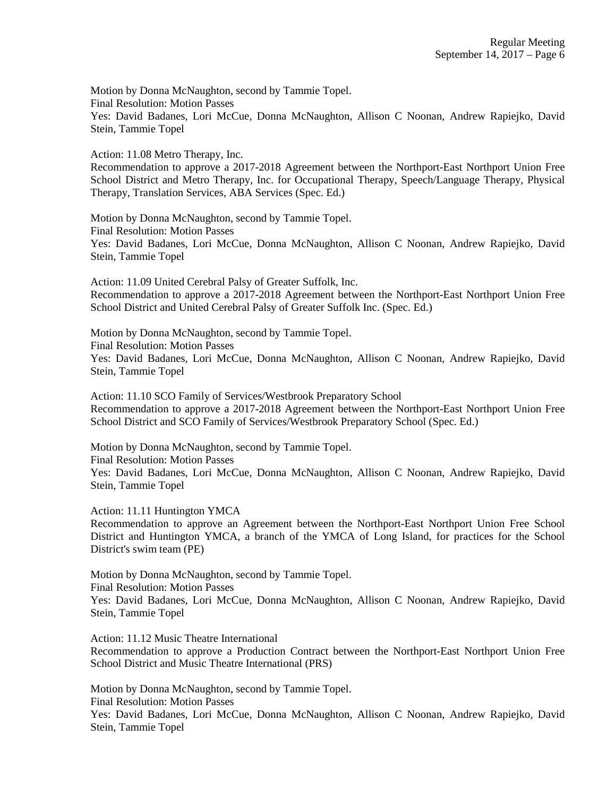Motion by Donna McNaughton, second by Tammie Topel. Final Resolution: Motion Passes Yes: David Badanes, Lori McCue, Donna McNaughton, Allison C Noonan, Andrew Rapiejko, David Stein, Tammie Topel

Action: 11.08 Metro Therapy, Inc.

Recommendation to approve a 2017-2018 Agreement between the Northport-East Northport Union Free School District and Metro Therapy, Inc. for Occupational Therapy, Speech/Language Therapy, Physical Therapy, Translation Services, ABA Services (Spec. Ed.)

Motion by Donna McNaughton, second by Tammie Topel. Final Resolution: Motion Passes Yes: David Badanes, Lori McCue, Donna McNaughton, Allison C Noonan, Andrew Rapiejko, David Stein, Tammie Topel

Action: 11.09 United Cerebral Palsy of Greater Suffolk, Inc. Recommendation to approve a 2017-2018 Agreement between the Northport-East Northport Union Free School District and United Cerebral Palsy of Greater Suffolk Inc. (Spec. Ed.)

Motion by Donna McNaughton, second by Tammie Topel. Final Resolution: Motion Passes Yes: David Badanes, Lori McCue, Donna McNaughton, Allison C Noonan, Andrew Rapiejko, David Stein, Tammie Topel

Action: 11.10 SCO Family of Services/Westbrook Preparatory School Recommendation to approve a 2017-2018 Agreement between the Northport-East Northport Union Free School District and SCO Family of Services/Westbrook Preparatory School (Spec. Ed.)

Motion by Donna McNaughton, second by Tammie Topel. Final Resolution: Motion Passes Yes: David Badanes, Lori McCue, Donna McNaughton, Allison C Noonan, Andrew Rapiejko, David Stein, Tammie Topel

Action: 11.11 Huntington YMCA

Recommendation to approve an Agreement between the Northport-East Northport Union Free School District and Huntington YMCA, a branch of the YMCA of Long Island, for practices for the School District's swim team (PE)

Motion by Donna McNaughton, second by Tammie Topel.

Final Resolution: Motion Passes

Yes: David Badanes, Lori McCue, Donna McNaughton, Allison C Noonan, Andrew Rapiejko, David Stein, Tammie Topel

Action: 11.12 Music Theatre International

Recommendation to approve a Production Contract between the Northport-East Northport Union Free School District and Music Theatre International (PRS)

Motion by Donna McNaughton, second by Tammie Topel.

Final Resolution: Motion Passes

Yes: David Badanes, Lori McCue, Donna McNaughton, Allison C Noonan, Andrew Rapiejko, David Stein, Tammie Topel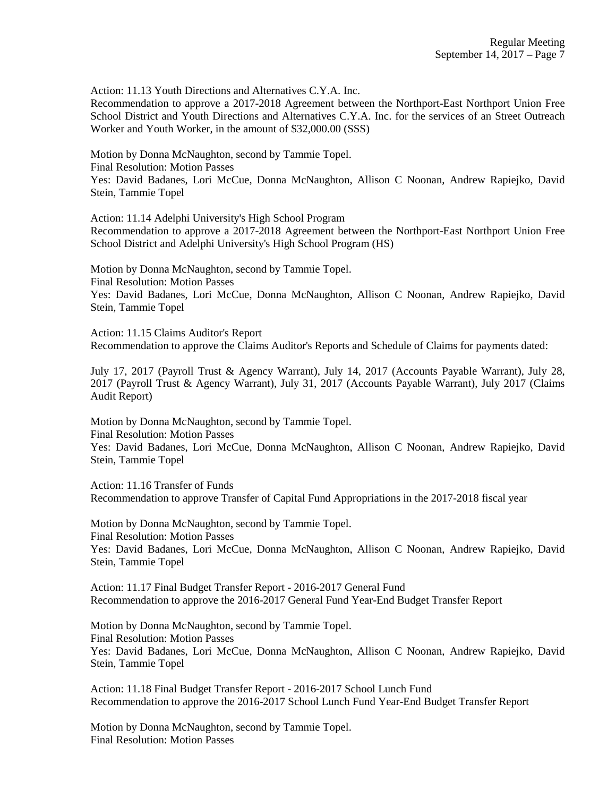Action: 11.13 Youth Directions and Alternatives C.Y.A. Inc.

Recommendation to approve a 2017-2018 Agreement between the Northport-East Northport Union Free School District and Youth Directions and Alternatives C.Y.A. Inc. for the services of an Street Outreach Worker and Youth Worker, in the amount of \$32,000.00 (SSS)

Motion by Donna McNaughton, second by Tammie Topel.

Final Resolution: Motion Passes

Yes: David Badanes, Lori McCue, Donna McNaughton, Allison C Noonan, Andrew Rapiejko, David Stein, Tammie Topel

Action: 11.14 Adelphi University's High School Program

Recommendation to approve a 2017-2018 Agreement between the Northport-East Northport Union Free School District and Adelphi University's High School Program (HS)

Motion by Donna McNaughton, second by Tammie Topel. Final Resolution: Motion Passes Yes: David Badanes, Lori McCue, Donna McNaughton, Allison C Noonan, Andrew Rapiejko, David Stein, Tammie Topel

Action: 11.15 Claims Auditor's Report Recommendation to approve the Claims Auditor's Reports and Schedule of Claims for payments dated:

July 17, 2017 (Payroll Trust & Agency Warrant), July 14, 2017 (Accounts Payable Warrant), July 28, 2017 (Payroll Trust & Agency Warrant), July 31, 2017 (Accounts Payable Warrant), July 2017 (Claims Audit Report)

Motion by Donna McNaughton, second by Tammie Topel. Final Resolution: Motion Passes Yes: David Badanes, Lori McCue, Donna McNaughton, Allison C Noonan, Andrew Rapiejko, David Stein, Tammie Topel

Action: 11.16 Transfer of Funds Recommendation to approve Transfer of Capital Fund Appropriations in the 2017-2018 fiscal year

Motion by Donna McNaughton, second by Tammie Topel. Final Resolution: Motion Passes Yes: David Badanes, Lori McCue, Donna McNaughton, Allison C Noonan, Andrew Rapiejko, David Stein, Tammie Topel

Action: 11.17 Final Budget Transfer Report - 2016-2017 General Fund Recommendation to approve the 2016-2017 General Fund Year-End Budget Transfer Report

Motion by Donna McNaughton, second by Tammie Topel. Final Resolution: Motion Passes Yes: David Badanes, Lori McCue, Donna McNaughton, Allison C Noonan, Andrew Rapiejko, David Stein, Tammie Topel

Action: 11.18 Final Budget Transfer Report - 2016-2017 School Lunch Fund Recommendation to approve the 2016-2017 School Lunch Fund Year-End Budget Transfer Report

Motion by Donna McNaughton, second by Tammie Topel. Final Resolution: Motion Passes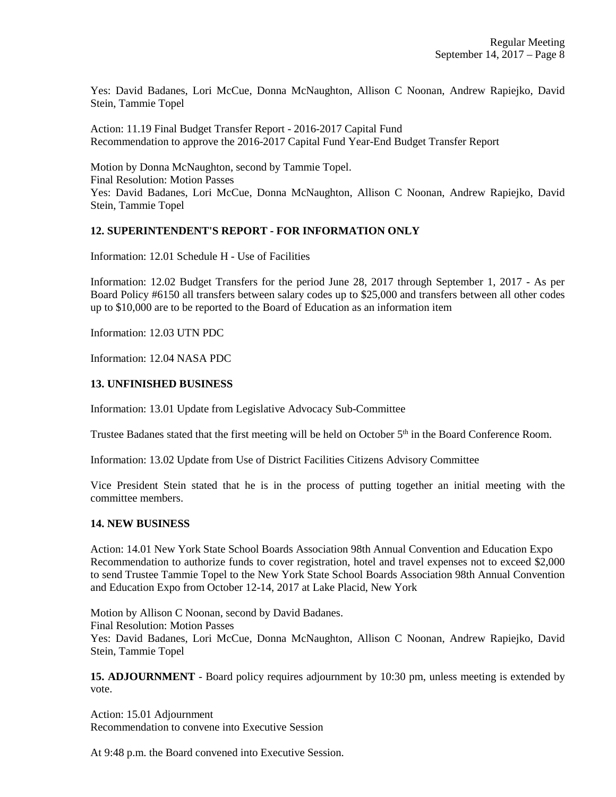Yes: David Badanes, Lori McCue, Donna McNaughton, Allison C Noonan, Andrew Rapiejko, David Stein, Tammie Topel

Action: 11.19 Final Budget Transfer Report - 2016-2017 Capital Fund Recommendation to approve the 2016-2017 Capital Fund Year-End Budget Transfer Report

Motion by Donna McNaughton, second by Tammie Topel. Final Resolution: Motion Passes Yes: David Badanes, Lori McCue, Donna McNaughton, Allison C Noonan, Andrew Rapiejko, David Stein, Tammie Topel

## **12. SUPERINTENDENT'S REPORT - FOR INFORMATION ONLY**

Information: 12.01 Schedule H - Use of Facilities

Information: 12.02 Budget Transfers for the period June 28, 2017 through September 1, 2017 - As per Board Policy #6150 all transfers between salary codes up to \$25,000 and transfers between all other codes up to \$10,000 are to be reported to the Board of Education as an information item

Information: 12.03 UTN PDC

Information: 12.04 NASA PDC

#### **13. UNFINISHED BUSINESS**

Information: 13.01 Update from Legislative Advocacy Sub-Committee

Trustee Badanes stated that the first meeting will be held on October 5<sup>th</sup> in the Board Conference Room.

Information: 13.02 Update from Use of District Facilities Citizens Advisory Committee

Vice President Stein stated that he is in the process of putting together an initial meeting with the committee members.

#### **14. NEW BUSINESS**

Action: 14.01 New York State School Boards Association 98th Annual Convention and Education Expo Recommendation to authorize funds to cover registration, hotel and travel expenses not to exceed \$2,000 to send Trustee Tammie Topel to the New York State School Boards Association 98th Annual Convention and Education Expo from October 12-14, 2017 at Lake Placid, New York

Motion by Allison C Noonan, second by David Badanes. Final Resolution: Motion Passes Yes: David Badanes, Lori McCue, Donna McNaughton, Allison C Noonan, Andrew Rapiejko, David Stein, Tammie Topel

**15. ADJOURNMENT** - Board policy requires adjournment by 10:30 pm, unless meeting is extended by vote.

Action: 15.01 Adjournment Recommendation to convene into Executive Session

At 9:48 p.m. the Board convened into Executive Session.